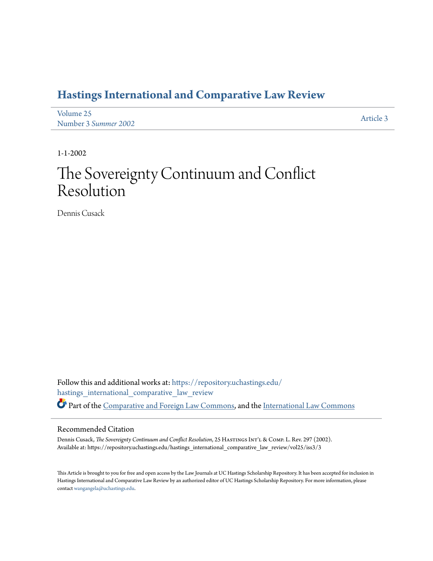# **[Hastings International and Comparative Law Review](https://repository.uchastings.edu/hastings_international_comparative_law_review?utm_source=repository.uchastings.edu%2Fhastings_international_comparative_law_review%2Fvol25%2Fiss3%2F3&utm_medium=PDF&utm_campaign=PDFCoverPages)**

| Volume 25            | Article 3 |
|----------------------|-----------|
| Number 3 Summer 2002 |           |

1-1-2002

# The Sovereignty Continuum and Conflict Resolution

Dennis Cusack

Follow this and additional works at: [https://repository.uchastings.edu/](https://repository.uchastings.edu/hastings_international_comparative_law_review?utm_source=repository.uchastings.edu%2Fhastings_international_comparative_law_review%2Fvol25%2Fiss3%2F3&utm_medium=PDF&utm_campaign=PDFCoverPages) [hastings\\_international\\_comparative\\_law\\_review](https://repository.uchastings.edu/hastings_international_comparative_law_review?utm_source=repository.uchastings.edu%2Fhastings_international_comparative_law_review%2Fvol25%2Fiss3%2F3&utm_medium=PDF&utm_campaign=PDFCoverPages) Part of the [Comparative and Foreign Law Commons](http://network.bepress.com/hgg/discipline/836?utm_source=repository.uchastings.edu%2Fhastings_international_comparative_law_review%2Fvol25%2Fiss3%2F3&utm_medium=PDF&utm_campaign=PDFCoverPages), and the [International Law Commons](http://network.bepress.com/hgg/discipline/609?utm_source=repository.uchastings.edu%2Fhastings_international_comparative_law_review%2Fvol25%2Fiss3%2F3&utm_medium=PDF&utm_campaign=PDFCoverPages)

### Recommended Citation

Dennis Cusack, *The Sovereignty Continuum and Conflict Resolution*, 25 HASTINGS INT'L & COMP. L. Rev. 297 (2002). Available at: https://repository.uchastings.edu/hastings\_international\_comparative\_law\_review/vol25/iss3/3

This Article is brought to you for free and open access by the Law Journals at UC Hastings Scholarship Repository. It has been accepted for inclusion in Hastings International and Comparative Law Review by an authorized editor of UC Hastings Scholarship Repository. For more information, please contact [wangangela@uchastings.edu](mailto:wangangela@uchastings.edu).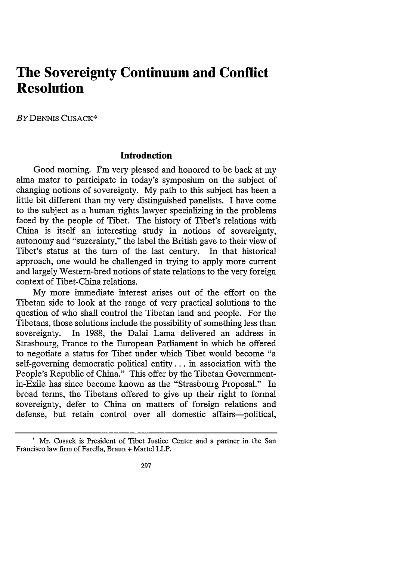# **The Sovereignty Continuum and Conflict Resolution**

BY DENNIS CUSACK\*

#### **Introduction**

Good morning. I'm very pleased and honored to be back at my alma mater to participate in today's symposium on the subject of changing notions of sovereignty. **My** path to this subject has been a little bit different than my very distinguished panelists. I have come to the subject as a human rights lawyer specializing in the problems faced **by** the people of Tibet. The history of Tibet's relations with China is itself an interesting study in notions of sovereignty, autonomy and "suzerainty," the label the British gave to their view of Tibet's status at the turn of the last century. In that historical approach, one would be challenged in trying to apply more current and largely Western-bred notions of state relations to the very foreign context of Tibet-China relations.

**My** more immediate interest arises out of the effort on the Tibetan side to look at the range of very practical solutions to the question of who shall control the Tibetan land and people. For the Tibetans, those solutions include the possibility of something less than sovereignty. In **1988,** the Dalai Lama delivered an address in Strasbourg, France to the European Parliament in which he offered to negotiate a status for Tibet under which Tibet would become "a self-governing democratic political entity... in association with the People's Republic of China." This offer **by** the Tibetan Governmentin-Exile has since become known as the "Strasbourg Proposal." In broad terms, the Tibetans offered to give up their right to formal sovereignty, defer to China on matters of foreign relations and defense, but retain control over all domestic affairs-political,

**<sup>\*</sup>** Mr. Cusack is President of Tibet Justice Center and a partner in the San Francisco law firm of Farella, Braun **+** Martel LLP.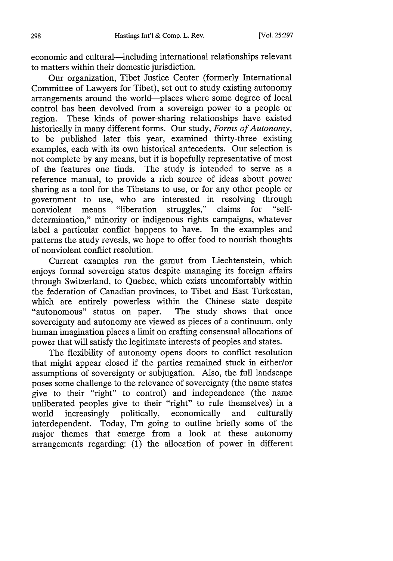economic and cultural-including international relationships relevant to matters within their domestic jurisdiction.

Our organization, Tibet Justice Center (formerly International Committee of Lawyers for Tibet), set out to study existing autonomy arrangements around the world-places where some degree of local control has been devolved from a sovereign power to a people or region. These kinds of power-sharing relationships have existed historically in many different forms. Our study, *Forms of Autonomy,* to be published later this year, examined thirty-three existing examples, each with its own historical antecedents. Our selection is not complete by any means, but it is hopefully representative of most of the features one finds. The study is intended to serve as a reference manual, to provide a rich source of ideas about power sharing as a tool for the Tibetans to use, or for any other people or government to use, who are interested in resolving through nonviolent means "liberation struggles," claims for "selfstruggles," claims for determination," minority or indigenous rights campaigns, whatever label a particular conflict happens to have. In the examples and patterns the study reveals, we hope to offer food to nourish thoughts of nonviolent conflict resolution.

Current examples run the gamut from Liechtenstein, which enjoys formal sovereign status despite managing its foreign affairs through Switzerland, to Quebec, which exists uncomfortably within the federation of Canadian provinces, to Tibet and East Turkestan, which are entirely powerless within the Chinese state despite "autonomous" status on paper. The study shows that once sovereignty and autonomy are viewed as pieces of a continuum, only human imagination places a limit on crafting consensual allocations of power that will satisfy the legitimate interests of peoples and states.

The flexibility of autonomy opens doors to conflict resolution that might appear closed if the parties remained stuck in either/or assumptions of sovereignty or subjugation. Also, the full landscape poses some challenge to the relevance of sovereignty (the name states give to their "right" to control) and independence (the name unliberated peoples give to their "right" to rule themselves) in a world increasingly politically, economically and culturally world increasingly politically, economically interdependent. Today, I'm going to outline briefly some of the major themes that emerge from a look at these autonomy arrangements regarding: (1) the allocation of power in different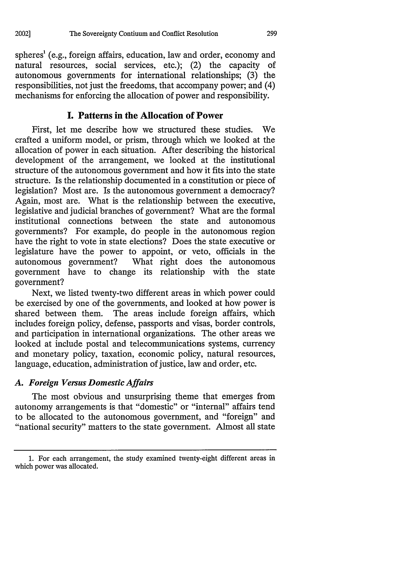spheres<sup>1</sup> (e.g., foreign affairs, education, law and order, economy and natural resources, social services, etc.); (2) the capacity of autonomous governments for international relationships; (3) the responsibilities, not just the freedoms, that accompany power; and (4) mechanisms for enforcing the allocation of power and responsibility.

## **I. Patterns in the Allocation of Power**

First, let me describe how we structured these studies. We crafted a uniform model, or prism, through which we looked at the allocation of power in each situation. After describing the historical development of the arrangement, we looked at the institutional structure of the autonomous government and how it fits into the state structure. Is the relationship documented in a constitution or piece of legislation? Most are. Is the autonomous government a democracy? Again, most are. What is the relationship between the executive, legislative and judicial branches of government? What are the formal institutional connections between the state and autonomous governments? For example, do people in the autonomous region have the right to vote in state elections? Does the state executive or legislature have the power to appoint, or veto, officials in the autonomous government? What right does the autonomous government have to change its relationship with the state government?

Next, we listed twenty-two different areas in which power could be exercised by one of the governments, and looked at how power is shared between them. The areas include foreign affairs, which includes foreign policy, defense, passports and visas, border controls, and participation in international organizations. The other areas we looked at include postal and telecommunications systems, currency and monetary policy, taxation, economic policy, natural resources, language, education, administration of justice, law and order, etc.

## *A. Foreign Versus Domestic Affairs*

The most obvious and unsurprising theme that emerges from autonomy arrangements is that "domestic" or "internal" affairs tend to be allocated to the autonomous government, and "foreign" and "national security" matters to the state government. Almost all state

<sup>1.</sup> For each arrangement, the study examined twenty-eight different areas in which power was allocated.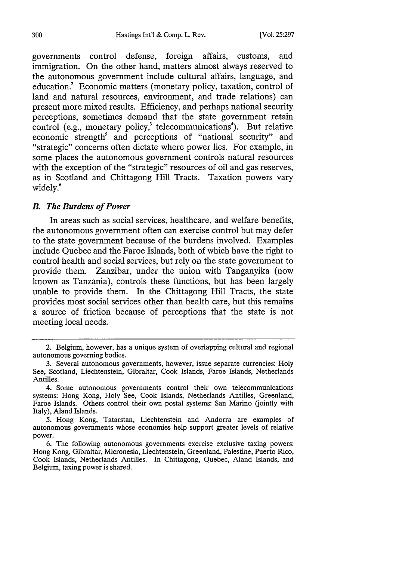governments control defense, foreign affairs, customs, and immigration. On the other hand, matters almost always reserved to the autonomous government include cultural affairs, language, and education.<sup>2</sup> Economic matters (monetary policy, taxation, control of land and natural resources, environment, and trade relations) can present more mixed results. Efficiency, and perhaps national security perceptions, sometimes demand that the state government retain control (e.g., monetary policy, $3$  telecommunications<sup>4</sup>). But relative economic strength<sup>5</sup> and perceptions of "national security" and "strategic" concerns often dictate where power lies. For example, in some places the autonomous government controls natural resources with the exception of the "strategic" resources of oil and gas reserves, as in Scotland and Chittagong Hill Tracts. Taxation powers vary widely.<sup>6</sup>

#### *B. The Burdens of Power*

In areas such as social services, healthcare, and welfare benefits, the autonomous government often can exercise control but may defer to the state government because of the burdens involved. Examples include Quebec and the Faroe Islands, both of which have the right to control health and social services, but rely on the state government to provide them. Zanzibar, under the union with Tanganyika (now known as Tanzania), controls these functions, but has been largely unable to provide them. In the Chittagong Hill Tracts, the state provides most social services other than health care, but this remains a source of friction because of perceptions that the state is not meeting local needs.

<sup>2.</sup> Belgium, however, has a unique system of overlapping cultural and regional autonomous governing bodies.

**<sup>3.</sup>** Several autonomous governments, however, issue separate currencies: Holy See, Scotland, Liechtenstein, Gibraltar, Cook Islands, Faroe Islands, Netherlands Antilles.

<sup>4.</sup> Some autonomous governments control their own telecommunications systems: Hong Kong, Holy See, Cook Islands, Netherlands Antilles, Greenland, Faroe Islands. Others control their own postal systems: San Marino (jointly with Italy), Aland Islands.

**<sup>5.</sup>** Hong Kong, Tatarstan, Liechtenstein and Andorra are examples of autonomous governments whose economies help support greater levels of relative power.

**<sup>6.</sup>** The following autonomous governments exercise exclusive taxing powers: Hong Kong, Gibraltar, Micronesia, Liechtenstein, Greenland, Palestine, Puerto Rico, Cook Islands, Netherlands Antilles. In Chittagong, Quebec, Aland Islands, and Belgium, taxing power is shared.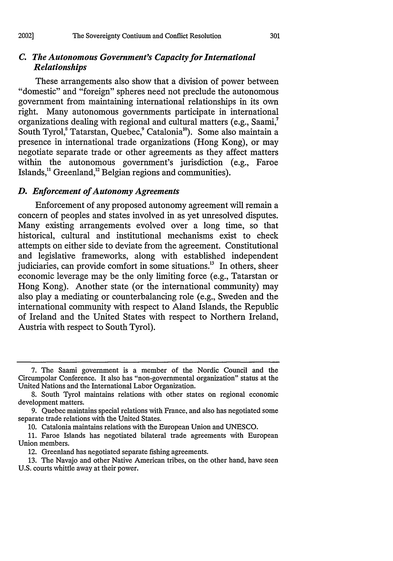#### *C. The Autonomous Government's Capacity for International Relationships*

These arrangements also show that a division of power between "domestic" and "foreign" spheres need not preclude the autonomous government from maintaining international relationships in its own right. Many autonomous governments participate in international organizations dealing with regional and cultural matters (e.g., Saami,7 South Tyrol,<sup>8</sup> Tatarstan, Quebec,<sup>9</sup> Catalonia<sup>10</sup>). Some also maintain a presence in international trade organizations (Hong Kong), or may negotiate separate trade or other agreements as they affect matters within the autonomous government's jurisdiction (e.g., Faroe Islands, $<sup>11</sup>$  Greenland, $<sup>12</sup>$  Belgian regions and communities).</sup></sup>

# *D. Enforcement of Autonomy Agreements*

Enforcement of any proposed autonomy agreement will remain a concern of peoples and states involved in as yet unresolved disputes. Many existing arrangements evolved over a long time, so that historical, cultural and institutional mechanisms exist to check attempts on either side to deviate from the agreement. Constitutional and legislative frameworks, along with established independent judiciaries, can provide comfort in some situations.<sup>13</sup> In others, sheer economic leverage may be the only limiting force (e.g., Tatarstan or Hong Kong). Another state (or the international community) may also play a mediating or counterbalancing role (e.g., Sweden and the international community with respect to Aland Islands, the Republic of Ireland and the United States with respect to Northern Ireland, Austria with respect to South Tyrol).

<sup>7.</sup> The Saami government is a member of the Nordic Council and the Circumpolar Conference. It also has "non-governmental organization" status at the United Nations and the International Labor Organization.

<sup>8.</sup> South Tyrol maintains relations with other states on regional economic development matters.

<sup>9.</sup> Quebec maintains special relations with France, and also has negotiated some separate trade relations with the United States.

<sup>10.</sup> Catalonia maintains relations with the European Union and UNESCO.

<sup>11.</sup> Faroe Islands has negotiated bilateral trade agreements with European Union members.

<sup>12.</sup> Greenland has negotiated separate fishing agreements.

**<sup>13.</sup>** The Navajo and other Native American tribes, on the other hand, have seen U.S. courts whittle away at their power.